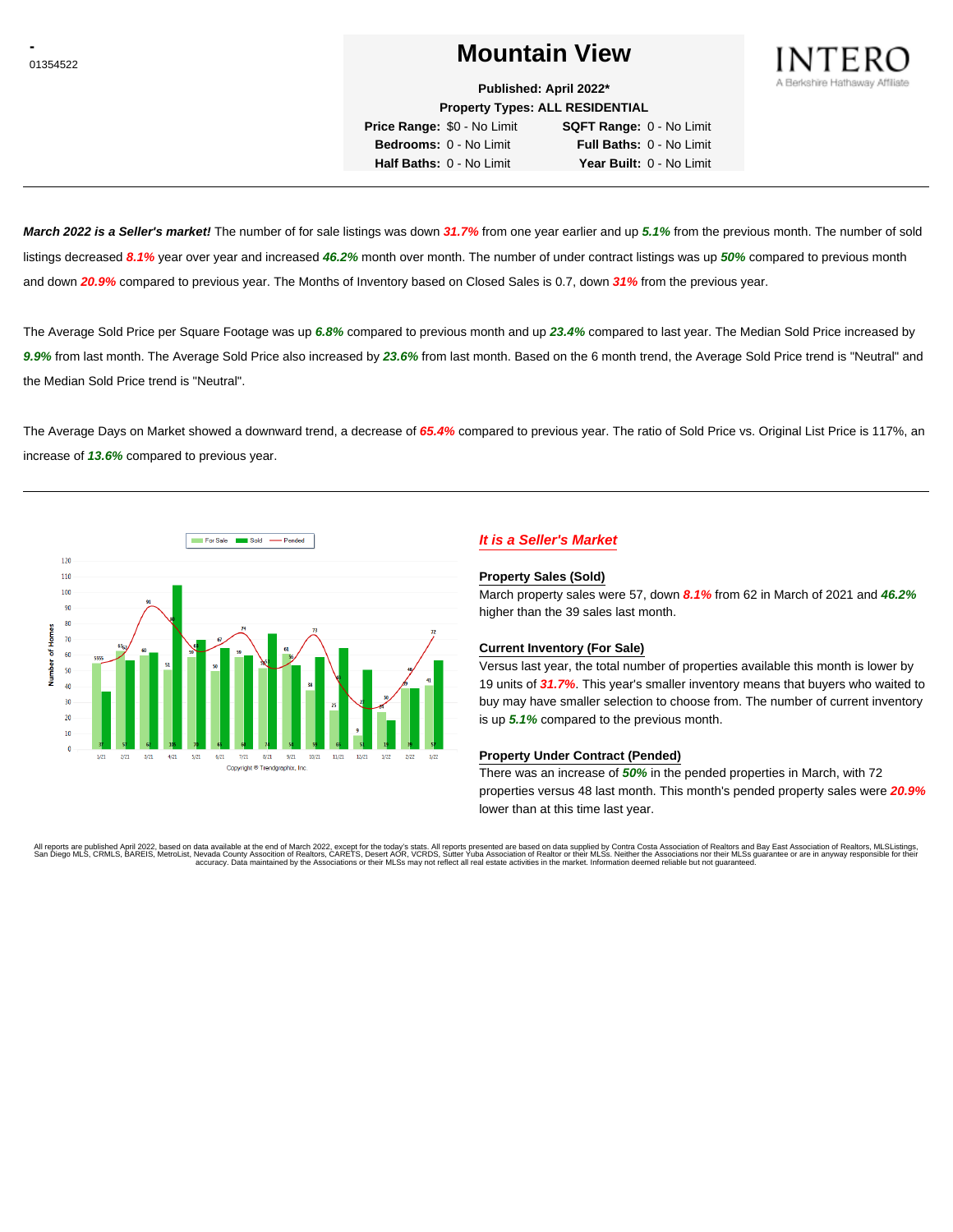# <sup>01354522</sup> **Mountain View**



**Published: April 2022\***

**Property Types: ALL RESIDENTIAL Price Range:** \$0 - No Limit **SQFT Range:** 0 - No Limit

**Bedrooms:** 0 - No Limit **Full Baths:** 0 - No Limit **Half Baths:** 0 - No Limit **Year Built:** 0 - No Limit

**March 2022 is a Seller's market!** The number of for sale listings was down **31.7%** from one year earlier and up **5.1%** from the previous month. The number of sold listings decreased **8.1%** year over year and increased **46.2%** month over month. The number of under contract listings was up **50%** compared to previous month and down **20.9%** compared to previous year. The Months of Inventory based on Closed Sales is 0.7, down **31%** from the previous year.

The Average Sold Price per Square Footage was up **6.8%** compared to previous month and up **23.4%** compared to last year. The Median Sold Price increased by **9.9%** from last month. The Average Sold Price also increased by **23.6%** from last month. Based on the 6 month trend, the Average Sold Price trend is "Neutral" and the Median Sold Price trend is "Neutral".

The Average Days on Market showed a downward trend, a decrease of **65.4%** compared to previous year. The ratio of Sold Price vs. Original List Price is 117%, an increase of **13.6%** compared to previous year.



## **It is a Seller's Market**

#### **Property Sales (Sold)**

March property sales were 57, down **8.1%** from 62 in March of 2021 and **46.2%** higher than the 39 sales last month.

### **Current Inventory (For Sale)**

Versus last year, the total number of properties available this month is lower by 19 units of **31.7%**. This year's smaller inventory means that buyers who waited to buy may have smaller selection to choose from. The number of current inventory is up **5.1%** compared to the previous month.

#### **Property Under Contract (Pended)**

There was an increase of **50%** in the pended properties in March, with 72 properties versus 48 last month. This month's pended property sales were **20.9%** lower than at this time last year.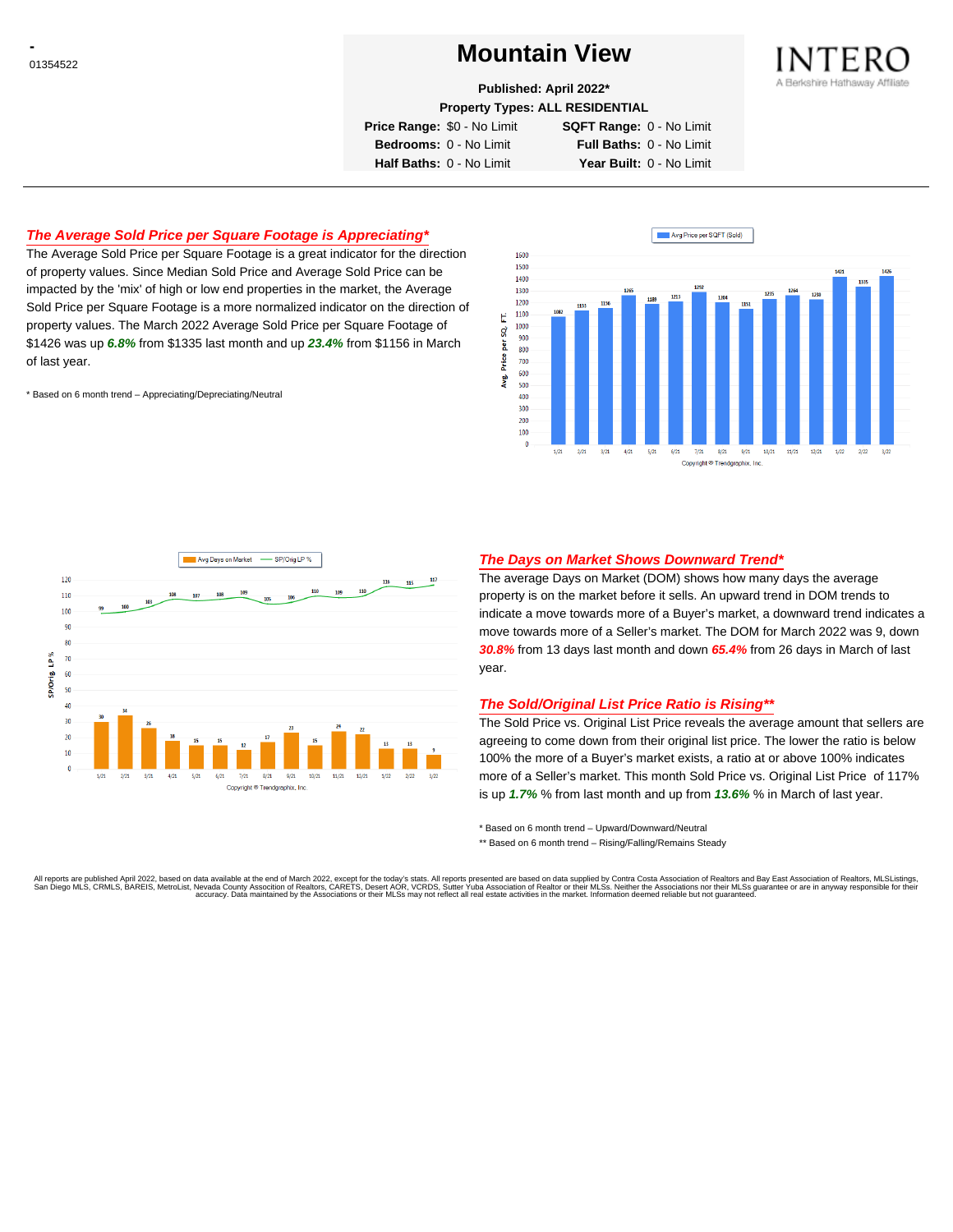# <sup>01354522</sup> **Mountain View**



**Published: April 2022\***

**Property Types: ALL RESIDENTIAL**

**Price Range:** \$0 - No Limit **SQFT Range:** 0 - No Limit

**Bedrooms:** 0 - No Limit **Full Baths:** 0 - No Limit **Half Baths:** 0 - No Limit **Year Built:** 0 - No Limit

### **The Average Sold Price per Square Footage is Appreciating\***

The Average Sold Price per Square Footage is a great indicator for the direction of property values. Since Median Sold Price and Average Sold Price can be impacted by the 'mix' of high or low end properties in the market, the Average Sold Price per Square Footage is a more normalized indicator on the direction of property values. The March 2022 Average Sold Price per Square Footage of \$1426 was up **6.8%** from \$1335 last month and up **23.4%** from \$1156 in March of last year.

\* Based on 6 month trend – Appreciating/Depreciating/Neutral





### **The Days on Market Shows Downward Trend\***

The average Days on Market (DOM) shows how many days the average property is on the market before it sells. An upward trend in DOM trends to indicate a move towards more of a Buyer's market, a downward trend indicates a move towards more of a Seller's market. The DOM for March 2022 was 9, down **30.8%** from 13 days last month and down **65.4%** from 26 days in March of last year.

### **The Sold/Original List Price Ratio is Rising\*\***

The Sold Price vs. Original List Price reveals the average amount that sellers are agreeing to come down from their original list price. The lower the ratio is below 100% the more of a Buyer's market exists, a ratio at or above 100% indicates more of a Seller's market. This month Sold Price vs. Original List Price of 117% is up **1.7%** % from last month and up from **13.6%** % in March of last year.

\* Based on 6 month trend – Upward/Downward/Neutral

\*\* Based on 6 month trend - Rising/Falling/Remains Steady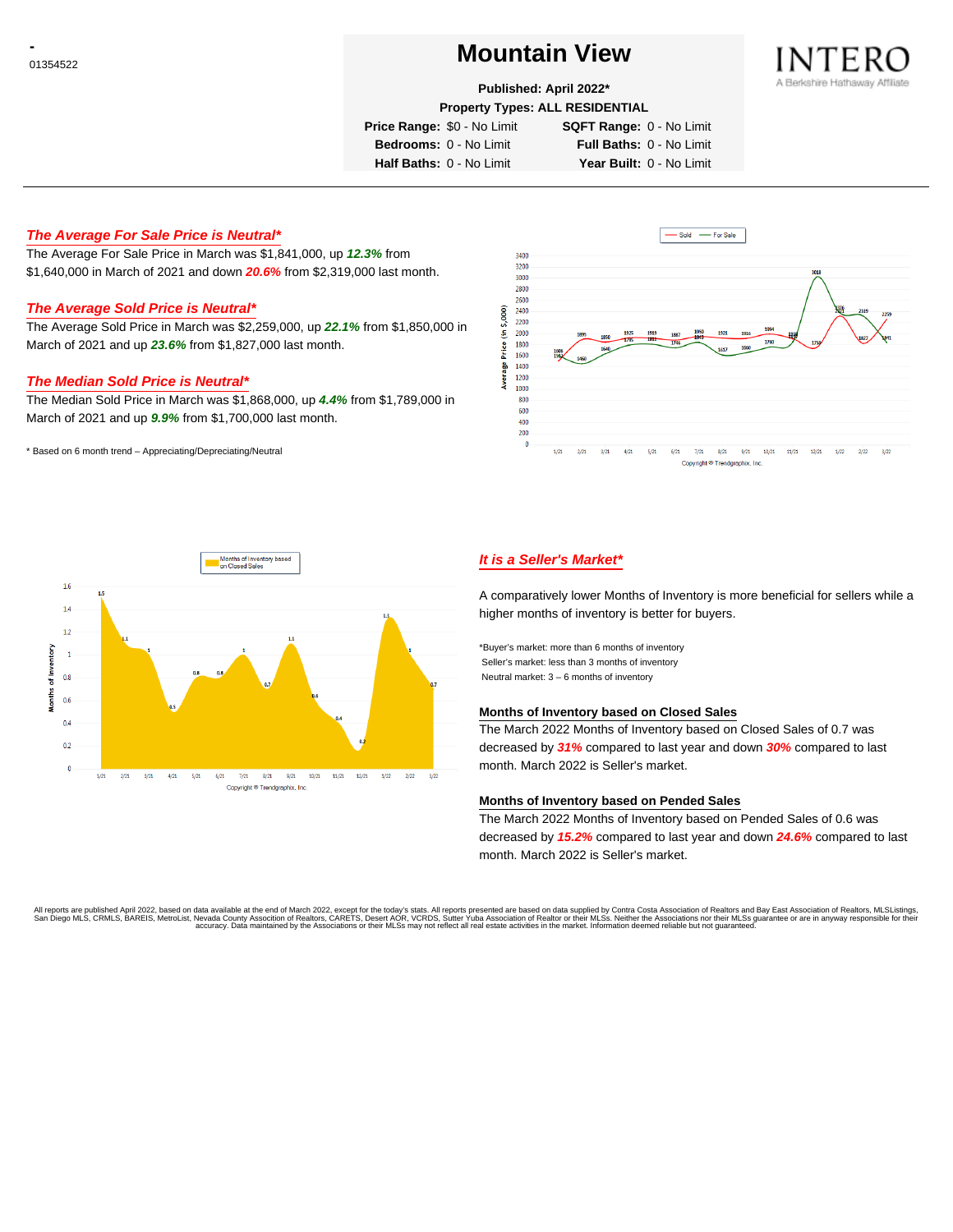# <sup>01354522</sup> **Mountain View**



#### **Published: April 2022\***

**Property Types: ALL RESIDENTIAL**

**Price Range:** \$0 - No Limit **SQFT Range:** 0 - No Limit

**Bedrooms:** 0 - No Limit **Full Baths:** 0 - No Limit

**Half Baths:** 0 - No Limit **Year Built:** 0 - No Limit

### **The Average For Sale Price is Neutral\***

The Average For Sale Price in March was \$1,841,000, up **12.3%** from \$1,640,000 in March of 2021 and down **20.6%** from \$2,319,000 last month.

### **The Average Sold Price is Neutral\***

The Average Sold Price in March was \$2,259,000, up **22.1%** from \$1,850,000 in March of 2021 and up **23.6%** from \$1,827,000 last month.

#### **The Median Sold Price is Neutral\***

The Median Sold Price in March was \$1,868,000, up **4.4%** from \$1,789,000 in March of 2021 and up **9.9%** from \$1,700,000 last month.

\* Based on 6 month trend – Appreciating/Depreciating/Neutral





## **It is a Seller's Market\***

A comparatively lower Months of Inventory is more beneficial for sellers while a higher months of inventory is better for buyers.

\*Buyer's market: more than 6 months of inventory Seller's market: less than 3 months of inventory Neutral market: 3 – 6 months of inventory

#### **Months of Inventory based on Closed Sales**

The March 2022 Months of Inventory based on Closed Sales of 0.7 was decreased by **31%** compared to last year and down **30%** compared to last month. March 2022 is Seller's market.

#### **Months of Inventory based on Pended Sales**

The March 2022 Months of Inventory based on Pended Sales of 0.6 was decreased by **15.2%** compared to last year and down **24.6%** compared to last month. March 2022 is Seller's market.